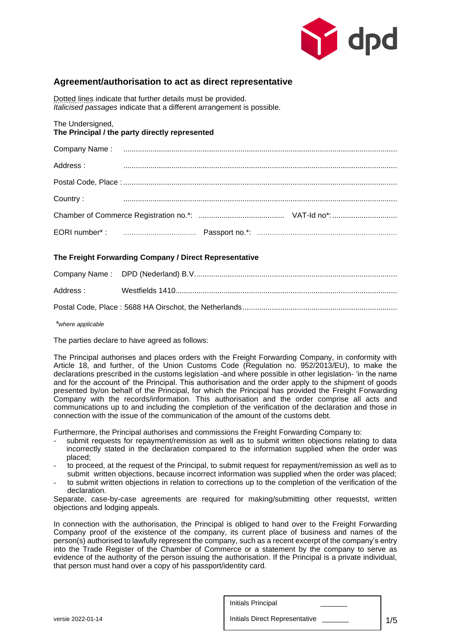

# **Agreement/authorisation to act as direct representative**

Dotted lines indicate that further details must be provided. *Italicised passages* indicate that a different arrangement is possible.

The Undersigned, **The Principal / the party directly represented**

| Address: |  |
|----------|--|
|          |  |
| Country: |  |
|          |  |
|          |  |

## **The Freight Forwarding Company / Direct Representative**

| Address : the control of the control of the control of the control of the control of the control of the control of the control of the control of the control of the control of the control of the control of the control of th |  |
|--------------------------------------------------------------------------------------------------------------------------------------------------------------------------------------------------------------------------------|--|
|                                                                                                                                                                                                                                |  |

*\*where applicable*

The parties declare to have agreed as follows:

The Principal authorises and places orders with the Freight Forwarding Company, in conformity with Article 18, and further, of the Union Customs Code (Regulation no. 952/2013/EU), to make the declarations prescribed in the customs legislation -and where possible in other legislation- 'in the name and for the account of' the Principal. This authorisation and the order apply to the shipment of goods presented by/on behalf of the Principal, for which the Principal has provided the Freight Forwarding Company with the records/information. This authorisation and the order comprise all acts and communications up to and including the completion of the verification of the declaration and those in connection with the issue of the communication of the amount of the customs debt.

Furthermore, the Principal authorises and commissions the Freight Forwarding Company to:

- submit requests for repayment/remission as well as to submit written objections relating to data incorrectly stated in the declaration compared to the information supplied when the order was placed;
- to proceed, at the request of the Principal, to submit request for repayment/remission as well as to submit written objections, because incorrect information was supplied when the order was placed;
- to submit written objections in relation to corrections up to the completion of the verification of the declaration.

Separate, case-by-case agreements are required for making/submitting other requestst, written objections and lodging appeals.

In connection with the authorisation, the Principal is obliged to hand over to the Freight Forwarding Company proof of the existence of the company, its current place of business and names of the person(s) authorised to lawfully represent the company, such as a recent excerpt of the company's entry into the Trade Register of the Chamber of Commerce or a statement by the company to serve as evidence of the authority of the person issuing the authorisation. If the Principal is a private individual, that person must hand over a copy of his passport/identity card.

versie 2022-01-14 1/5 Initials Direct Representative \_\_\_\_\_\_\_ Initials Principal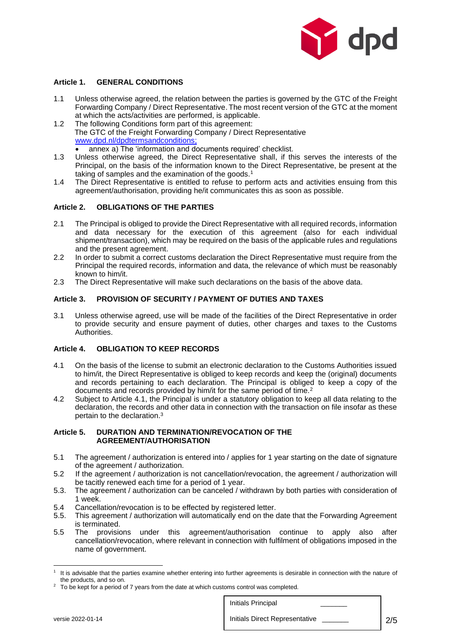

### **Article 1. GENERAL CONDITIONS**

- 1.1 Unless otherwise agreed, the relation between the parties is governed by the GTC of the Freight Forwarding Company / Direct Representative. The most recent version of the GTC at the moment at which the acts/activities are performed, is applicable.
- 1.2 The following Conditions form part of this agreement: The GTC of the Freight Forwarding Company / Direct Representative [www.dpd.nl/dpdtermsandconditions;](http://www.dpd.nl/dpdtermsandconditions) • annex a) The 'information and documents required' checklist.
- 1.3 Unless otherwise agreed, the Direct Representative shall, if this serves the interests of the Principal, on the basis of the information known to the Direct Representative, be present at the taking of samples and the examination of the goods.<sup>1</sup>
- 1.4 The Direct Representative is entitled to refuse to perform acts and activities ensuing from this agreement/authorisation, providing he/it communicates this as soon as possible.

### **Article 2. OBLIGATIONS OF THE PARTIES**

- 2.1 The Principal is obliged to provide the Direct Representative with all required records, information and data necessary for the execution of this agreement (also for each individual shipment/transaction), which may be required on the basis of the applicable rules and regulations and the present agreement.
- 2.2 In order to submit a correct customs declaration the Direct Representative must require from the Principal the required records, information and data, the relevance of which must be reasonably known to him/it.
- 2.3 The Direct Representative will make such declarations on the basis of the above data.

#### **Article 3. PROVISION OF SECURITY / PAYMENT OF DUTIES AND TAXES**

3.1 Unless otherwise agreed, use will be made of the facilities of the Direct Representative in order to provide security and ensure payment of duties, other charges and taxes to the Customs Authorities.

#### **Article 4. OBLIGATION TO KEEP RECORDS**

- 4.1 On the basis of the license to submit an electronic declaration to the Customs Authorities issued to him/it, the Direct Representative is obliged to keep records and keep the (original) documents and records pertaining to each declaration. The Principal is obliged to keep a copy of the documents and records provided by him/it for the same period of time.<sup>2</sup>
- 4.2 Subject to Article 4.1, the Principal is under a statutory obligation to keep all data relating to the declaration, the records and other data in connection with the transaction on file insofar as these pertain to the declaration.<sup>3</sup>

#### **Article 5. DURATION AND TERMINATION/REVOCATION OF THE AGREEMENT/AUTHORISATION**

- 5.1 The agreement / authorization is entered into / applies for 1 year starting on the date of signature of the agreement / authorization.
- 5.2 If the agreement / authorization is not cancellation/revocation, the agreement / authorization will be tacitly renewed each time for a period of 1 year.
- 5.3. The agreement / authorization can be canceled / withdrawn by both parties with consideration of 1 week.
- 5.4 Cancellation/revocation is to be effected by registered letter.
- 5.5. This agreement / authorization will automatically end on the date that the Forwarding Agreement is terminated.
- 5.5 The provisions under this agreement/authorisation continue to apply also after cancellation/revocation, where relevant in connection with fulfilment of obligations imposed in the name of government.

 $2$  To be kept for a period of 7 years from the date at which customs control was completed.



<sup>&</sup>lt;sup>1</sup> It is advisable that the parties examine whether entering into further agreements is desirable in connection with the nature of the products, and so on.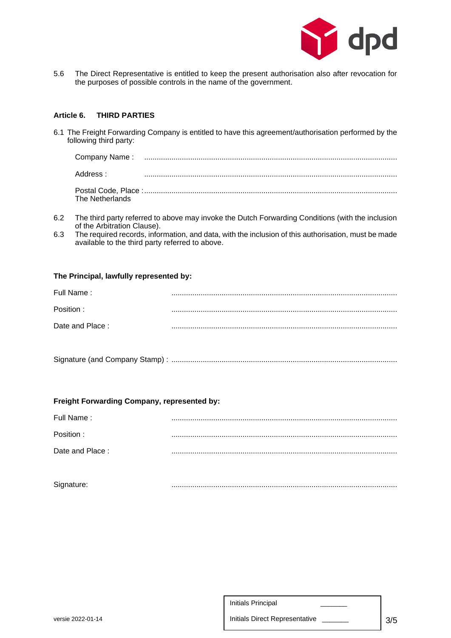

5.6 The Direct Representative is entitled to keep the present authorisation also after revocation for the purposes of possible controls in the name of the government.

### **Article 6. THIRD PARTIES**

6.1 The Freight Forwarding Company is entitled to have this agreement/authorisation performed by the following third party:

| Address : .     |  |
|-----------------|--|
| The Netherlands |  |

- 6.2 The third party referred to above may invoke the Dutch Forwarding Conditions (with the inclusion of the Arbitration Clause).
- 6.3 The required records, information, and data, with the inclusion of this authorisation, must be made available to the third party referred to above.

### **The Principal, lawfully represented by:**

| Full Name:      |  |
|-----------------|--|
| Position:       |  |
|                 |  |
| Date and Place: |  |
|                 |  |

|--|--|

#### **Freight Forwarding Company, represented by:**

| Signature:      |  |
|-----------------|--|
| Date and Place: |  |
| Position:       |  |
| Full Name:      |  |

|                   | Initials Principal             |     |
|-------------------|--------------------------------|-----|
| versie 2022-01-14 | Initials Direct Representative | 3/5 |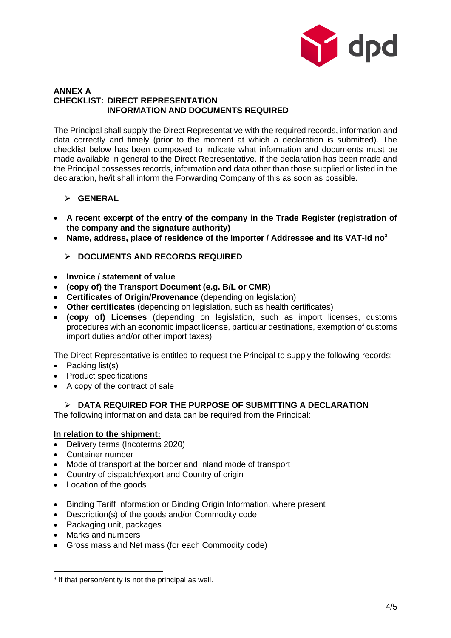

## **ANNEX A CHECKLIST: DIRECT REPRESENTATION INFORMATION AND DOCUMENTS REQUIRED**

The Principal shall supply the Direct Representative with the required records, information and data correctly and timely (prior to the moment at which a declaration is submitted). The checklist below has been composed to indicate what information and documents must be made available in general to the Direct Representative. If the declaration has been made and the Principal possesses records, information and data other than those supplied or listed in the declaration, he/it shall inform the Forwarding Company of this as soon as possible.

# ➢ **GENERAL**

- **A recent excerpt of the entry of the company in the Trade Register (registration of the company and the signature authority)**
- **Name, address, place of residence of the Importer / Addressee and its VAT-Id no<sup>3</sup>**
	- ➢ **DOCUMENTS AND RECORDS REQUIRED**
- **Invoice / statement of value**
- **(copy of) the Transport Document (e.g. B/L or CMR)**
- **Certificates of Origin/Provenance** (depending on legislation)
- **Other certificates** (depending on legislation, such as health certificates)
- **(copy of) Licenses** (depending on legislation, such as import licenses, customs procedures with an economic impact license, particular destinations, exemption of customs import duties and/or other import taxes)

The Direct Representative is entitled to request the Principal to supply the following records:

- Packing list(s)
- Product specifications
- A copy of the contract of sale

# ➢ **DATA REQUIRED FOR THE PURPOSE OF SUBMITTING A DECLARATION**

The following information and data can be required from the Principal:

# **In relation to the shipment:**

- Delivery terms (Incoterms 2020)
- Container number
- Mode of transport at the border and Inland mode of transport
- Country of dispatch/export and Country of origin
- Location of the goods
- Binding Tariff Information or Binding Origin Information, where present
- Description(s) of the goods and/or Commodity code
- Packaging unit, packages
- Marks and numbers
- Gross mass and Net mass (for each Commodity code)

<sup>&</sup>lt;sup>3</sup> If that person/entity is not the principal as well.